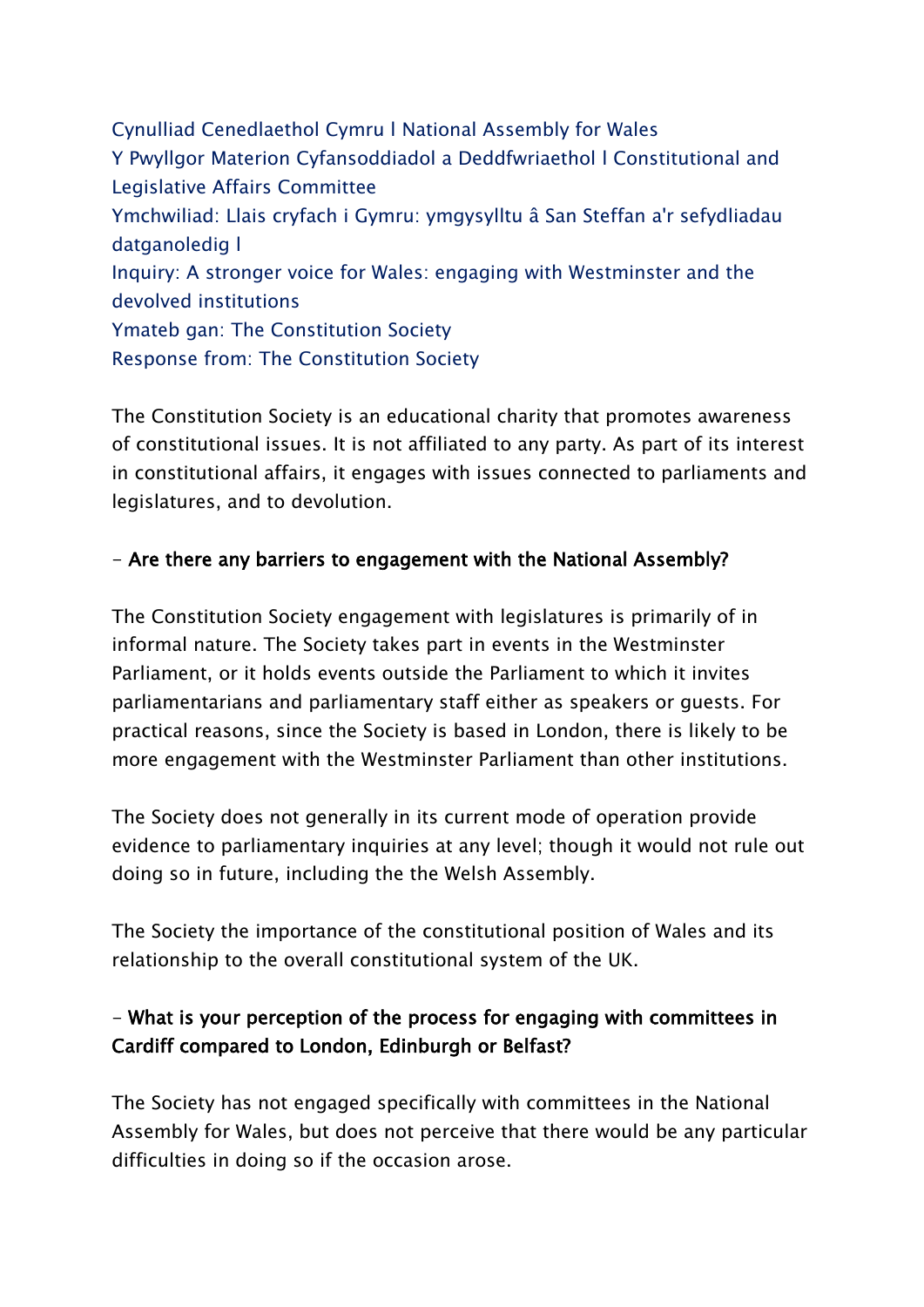Cynulliad Cenedlaethol Cymru l National Assembly for Wales Y Pwyllgor Materion Cyfansoddiadol a Deddfwriaethol l Constitutional and Legislative Affairs Committee Ymchwiliad: Llais cryfach i Gymru: ymgysylltu â San Steffan a'r sefydliadau datganoledig l Inquiry: A stronger voice for Wales: engaging with Westminster and the devolved institutions Ymateb gan: The Constitution Society Response from: The Constitution Society

The Constitution Society is an educational charity that promotes awareness of constitutional issues. It is not affiliated to any party. As part of its interest in constitutional affairs, it engages with issues connected to parliaments and legislatures, and to devolution.

## - Are there any barriers to engagement with the National Assembly?

The Constitution Society engagement with legislatures is primarily of in informal nature. The Society takes part in events in the Westminster Parliament, or it holds events outside the Parliament to which it invites parliamentarians and parliamentary staff either as speakers or guests. For practical reasons, since the Society is based in London, there is likely to be more engagement with the Westminster Parliament than other institutions.

The Society does not generally in its current mode of operation provide evidence to parliamentary inquiries at any level; though it would not rule out doing so in future, including the the Welsh Assembly.

The Society the importance of the constitutional position of Wales and its relationship to the overall constitutional system of the UK.

## - What is your perception of the process for engaging with committees in Cardiff compared to London, Edinburgh or Belfast?

The Society has not engaged specifically with committees in the National Assembly for Wales, but does not perceive that there would be any particular difficulties in doing so if the occasion arose.